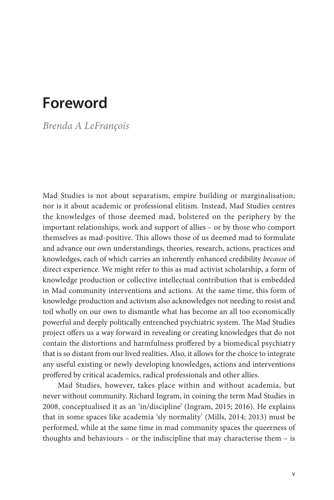## **Foreword**

*Brenda A LeFrançois*

Mad Studies is not about separatism, empire building or marginalisation; nor is it about academic or professional elitism. Instead, Mad Studies centres the knowledges of those deemed mad, bolstered on the periphery by the important relationships, work and support of allies – or by those who comport themselves as mad-positive. This allows those of us deemed mad to formulate and advance our own understandings, theories, research, actions, practices and knowledges, each of which carries an inherently enhanced credibility *because* of direct experience. We might refer to this as mad activist scholarship, a form of knowledge production or collective intellectual contribution that is embedded in Mad community interventions and actions. At the same time, this form of knowledge production and activism also acknowledges not needing to resist and toil wholly on our own to dismantle what has become an all too economically powerful and deeply politically entrenched psychiatric system. The Mad Studies project offers us a way forward in revealing or creating knowledges that do not contain the distortions and harmfulness proffered by a biomedical psychiatry that is so distant from our lived realities. Also, it allows for the choice to integrate any useful existing or newly developing knowledges, actions and interventions proffered by critical academics, radical professionals and other allies.

Mad Studies, however, takes place within and without academia, but never without community. Richard Ingram, in coining the term Mad Studies in 2008, conceptualised it as an 'in/discipline' (Ingram, 2015; 2016). He explains that in some spaces like academia 'sly normality' (Mills, 2014; 2013) must be performed, while at the same time in mad community spaces the queerness of thoughts and behaviours – or the indiscipline that may characterise them – is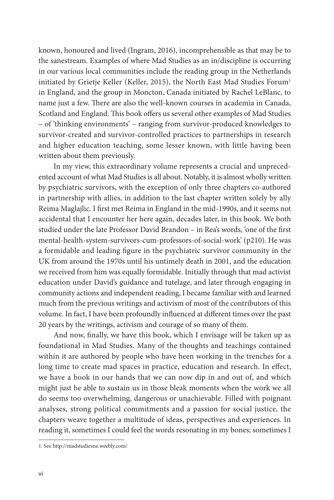known, honoured and lived (Ingram, 2016), incomprehensible as that may be to the sanestream. Examples of where Mad Studies as an in/discipline is occurring in our various local communities include the reading group in the Netherlands initiated by Grietje Keller (Keller, 2015), the North East Mad Studies Forum<sup>1</sup> in England, and the group in Moncton, Canada initiated by Rachel LeBlanc, to name just a few. There are also the well-known courses in academia in Canada, Scotland and England. This book offers us several other examples of Mad Studies – of 'thinking environments' – ranging from survivor-produced knowledges to survivor-created and survivor-controlled practices to partnerships in research and higher education teaching, some lesser known, with little having been written about them previously.

In my view, this extraordinary volume represents a crucial and unprecedented account of what Mad Studies is all about. Notably, it is almost wholly written by psychiatric survivors, with the exception of only three chapters co-authored in partnership with allies, in addition to the last chapter written solely by ally Reima Maglajlic. I first met Reima in England in the mid-1990s, and it seems not accidental that I encounter her here again, decades later, in this book. We both studied under the late Professor David Brandon – in Rea's words, 'one of the first mental-health-system-survivors-cum-professors-of-social-work' (p210). He was a formidable and leading figure in the psychiatric survivor community in the UK from around the 1970s until his untimely death in 2001, and the education we received from him was equally formidable. Initially through that mad activist education under David's guidance and tutelage, and later through engaging in community actions and independent reading, I became familiar with and learned much from the previous writings and activism of most of the contributors of this volume. In fact, I have been profoundly influenced at different times over the past 20 years by the writings, activism and courage of so many of them.

And now, finally, we have this book, which I envisage will be taken up as foundational in Mad Studies. Many of the thoughts and teachings contained within it are authored by people who have been working in the trenches for a long time to create mad spaces in practice, education and research. In effect, we have a book in our hands that we can now dip in and out of, and which might just be able to sustain us in those bleak moments when the work we all do seems too overwhelming, dangerous or unachievable. Filled with poignant analyses, strong political commitments and a passion for social justice, the chapters weave together a multitude of ideas, perspectives and experiences. In reading it, sometimes I could feel the words resonating in my bones; sometimes I

<sup>1.</sup> See http://madstudiesne.weebly.com/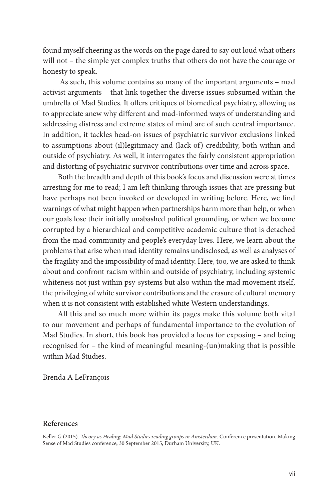found myself cheering as the words on the page dared to say out loud what others will not – the simple yet complex truths that others do not have the courage or honesty to speak.

 As such, this volume contains so many of the important arguments – mad activist arguments – that link together the diverse issues subsumed within the umbrella of Mad Studies. It offers critiques of biomedical psychiatry, allowing us to appreciate anew why different and mad-informed ways of understanding and addressing distress and extreme states of mind are of such central importance. In addition, it tackles head-on issues of psychiatric survivor exclusions linked to assumptions about (il)legitimacy and (lack of) credibility, both within and outside of psychiatry. As well, it interrogates the fairly consistent appropriation and distorting of psychiatric survivor contributions over time and across space.

Both the breadth and depth of this book's focus and discussion were at times arresting for me to read; I am left thinking through issues that are pressing but have perhaps not been invoked or developed in writing before. Here, we find warnings of what might happen when partnerships harm more than help, or when our goals lose their initially unabashed political grounding, or when we become corrupted by a hierarchical and competitive academic culture that is detached from the mad community and people's everyday lives. Here, we learn about the problems that arise when mad identity remains undisclosed, as well as analyses of the fragility and the impossibility of mad identity. Here, too, we are asked to think about and confront racism within and outside of psychiatry, including systemic whiteness not just within psy-systems but also within the mad movement itself, the privileging of white survivor contributions and the erasure of cultural memory when it is not consistent with established white Western understandings.

All this and so much more within its pages make this volume both vital to our movement and perhaps of fundamental importance to the evolution of Mad Studies. In short, this book has provided a locus for exposing – and being recognised for – the kind of meaningful meaning-(un)making that is possible within Mad Studies.

Brenda A LeFrançois

## **References**

Keller G (2015). *Theory as Healing: Mad Studies reading groups in Amsterdam.* Conference presentation. Making Sense of Mad Studies conference, 30 September 2015; Durham University, UK.